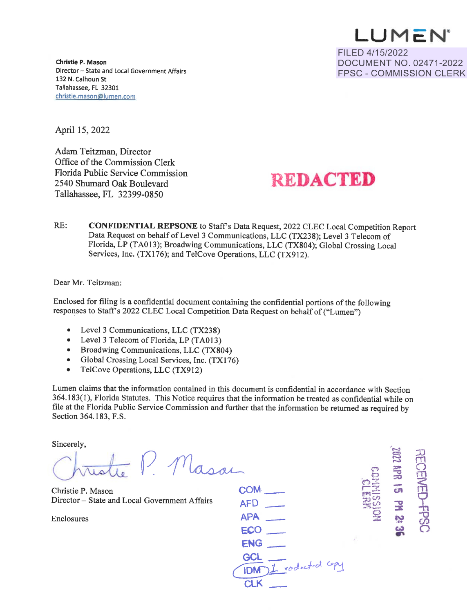**LU M C: N ~**  FILED 4/15/2022 DOCUMENT NO. 02471-2022 FPSC - COMMISSION CLERK

**Christle P. Mason**  Director - State and Local Government Affairs 132 N. Calhoun St Tallahassee, FL 32301 christle.mason@lumen.com

April 15, 2022

Adam Teitzman, Director Office of the Commission Clerk Florida Public Service Commission 2540 Shumard Oak Boulevard Tallahassee, FL 32399-0850

## **REDACTED**

RE: **CONFIDENTIAL REPSONE** to Staffs Data Request, 2022 CLEC Local Competition Report Data Request on behalf of Level 3 Communications, LLC (TX23 8); Level 3 Telecom of Florida, LP (TA013); Broadwing Communications, LLC (TX804); Global Crossing Local Services, Inc. (TX176); and TelCove Operations, LLC (TX912).

Dear Mr. Teitzman:

Enclosed for filing is a confidential document containing the confidential portions of the following responses to Stafrs 2022 CLEC Local Competition Data Request on behalf of ("Lumen")

- Level 3 Communications, LLC (TX238)
- Level 3 Telecom of Florida, LP (TA013)
- Broadwing Communications, LLC (TX804)
- Global Crossing Local Services, Inc. (TX176)
- TelCove Operations, LLC (TX912)

Lumen claims that the information contained in this document is confidential in accordance with Section 364.183(1), Florida Statutes. This Notice requires that the information be treated as confidential while on file at the Florida Public Service Commission and further that the information be returned as required by Section 364.183, F.S.

Sincerely,

 $P.$  Masa

Christie P. Mason Director - State and Local Government Affairs

Enclosures

| COM                      |  |
|--------------------------|--|
| <b>AFD</b>               |  |
| <b>APA</b>               |  |
| $ECO$ $-$                |  |
| ENG                      |  |
| GCL                      |  |
| 1 rodacted copy<br>IDM ) |  |
| <b>CLK</b>               |  |
|                          |  |

*("")*  b "oZ  $\Xi$  $\frac{1}{25}$ 

 $\sim$ **<u>es</u>**  $\underline{\text{H}}$  2002

 $\overline{\mathfrak{D}}$  $\widetilde{\mathbb{S}}$  $\Xi$  .

 $\blacksquare$ 

 $\frac{1}{2}$ *(:/)*   $\breve{\circ}$ 

**(R -0 ::r:** 

> *'\** **c..,**  <u>က</u>ိ

0 ~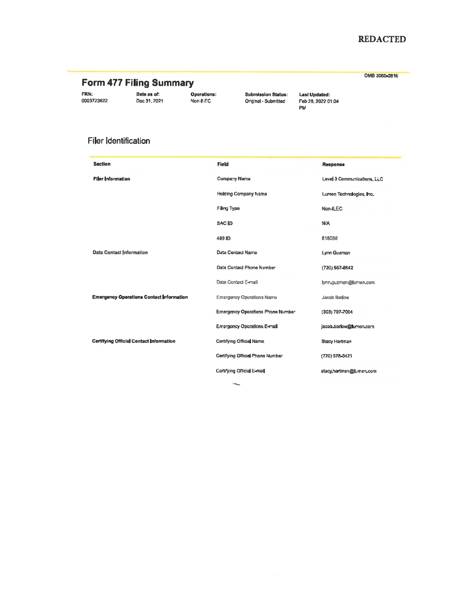## **REDACTED**

OMB 3060-0816

FRN: 0003723822 Data as of:<br>Dec 31, 2021 Non-ILEC

Operations:

**Submission Status:** Original - Submitted

**Last Updated:** Feb 28, 2022 01:04 PM

## Filer Identification

| <b>Saction</b>                                  | Field                             | Response                    |
|-------------------------------------------------|-----------------------------------|-----------------------------|
| <b>Filer Information</b>                        | Company Name                      | Level 3 Communications, LLC |
|                                                 | <b>Holding Company Name</b>       | Lumen Technologies, Inc.    |
|                                                 | Filing Type                       | Non-ILEC                    |
|                                                 | <b>SACID</b>                      | <b>N/A</b>                  |
|                                                 | 489 ID                            | 818086                      |
| <b>Data Contact Information</b>                 | Data Contact Name                 | <b>Lynn Guzman</b>          |
|                                                 | Data Contact Phone Number         | (720) 567-8542              |
|                                                 | Data Contact E-mail               | lynn.guzman@lumen.com       |
| <b>Emergency Operations Contact Information</b> | <b>Emergency Operations Name</b>  | Jacob Barlow                |
|                                                 | Emergency Operations Phone Number | (303) 707-7004              |
|                                                 | Emergency Operations E-mail       | jacob.barlow@lumen.com      |
| <b>Certifying Official Contact Information</b>  | Certifying Official Name          | <b>Stacy Hartman</b>        |
|                                                 | Certifying Official Phone Number  | (720) 578-3421              |
|                                                 | Certifying Official E-mail        | stacy hartman@jumen.com     |
|                                                 |                                   |                             |

 $\bar{b}_{\rm{max}}$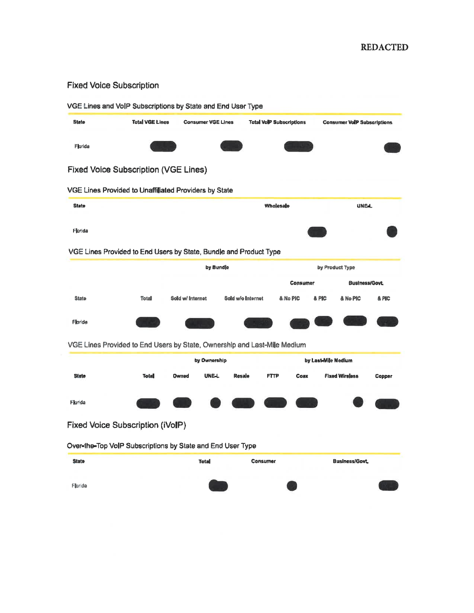## **Fixed Voice Subscription**

| <b>State</b> | <b>Total VGE Lines</b>                                                   | <b>Consumer VGE Lines</b> |                   | <b>Total VolP Subscriptions</b> | <b>Consumer VollP Subscriptions</b> |                  |  |  |
|--------------|--------------------------------------------------------------------------|---------------------------|-------------------|---------------------------------|-------------------------------------|------------------|--|--|
| Florida      |                                                                          |                           |                   |                                 |                                     |                  |  |  |
|              | <b>Fixed Voice Subscription (VGE Lines)</b>                              |                           |                   |                                 |                                     |                  |  |  |
|              | VGE Lines Provided to Unaffiliated Providers by State                    |                           |                   |                                 |                                     |                  |  |  |
| <b>State</b> |                                                                          |                           |                   | Wholesale                       | <b>UNEL</b>                         |                  |  |  |
| Florida      |                                                                          |                           |                   |                                 |                                     |                  |  |  |
|              | VGE Lines Provided to End Users by State, Bundle and Product Type        |                           |                   |                                 |                                     |                  |  |  |
|              |                                                                          |                           | by Bundle         |                                 | by Product Type                     |                  |  |  |
|              |                                                                          |                           |                   | Consumer<br>Business/Govt,      |                                     |                  |  |  |
| <b>State</b> | Total                                                                    | Sold w/ Internet          | Sold w/o Internet | & No PIC                        | <b>&amp; PIC</b><br>& No PIC        | <b>&amp; PIC</b> |  |  |
| Florida      |                                                                          |                           |                   |                                 |                                     |                  |  |  |
|              |                                                                          |                           |                   |                                 |                                     |                  |  |  |
|              | VGE Lines Provided to End Users by State, Ownership and Last-Mile Medium | by Ownership              |                   |                                 | by Last-Mile Medium                 |                  |  |  |
| <b>State</b> | <b>Total</b>                                                             | <b>UNE-L</b><br>Owned     | Resale            | <b>FTTP</b><br>Coax             | <b>Fixed Wireless</b>               | Copper           |  |  |
| Florida      |                                                                          |                           |                   |                                 |                                     |                  |  |  |
|              |                                                                          |                           |                   |                                 |                                     |                  |  |  |
|              | Fixed Voice Subscription (iVoIP)                                         |                           |                   |                                 |                                     |                  |  |  |
|              | Over-the-Top VoIP Subscriptions by State and End User Type               |                           |                   |                                 |                                     |                  |  |  |
|              |                                                                          | <b>Total</b>              | Consumer          |                                 | <b>Business/Govt</b>                |                  |  |  |
| <b>State</b> |                                                                          |                           |                   |                                 |                                     |                  |  |  |